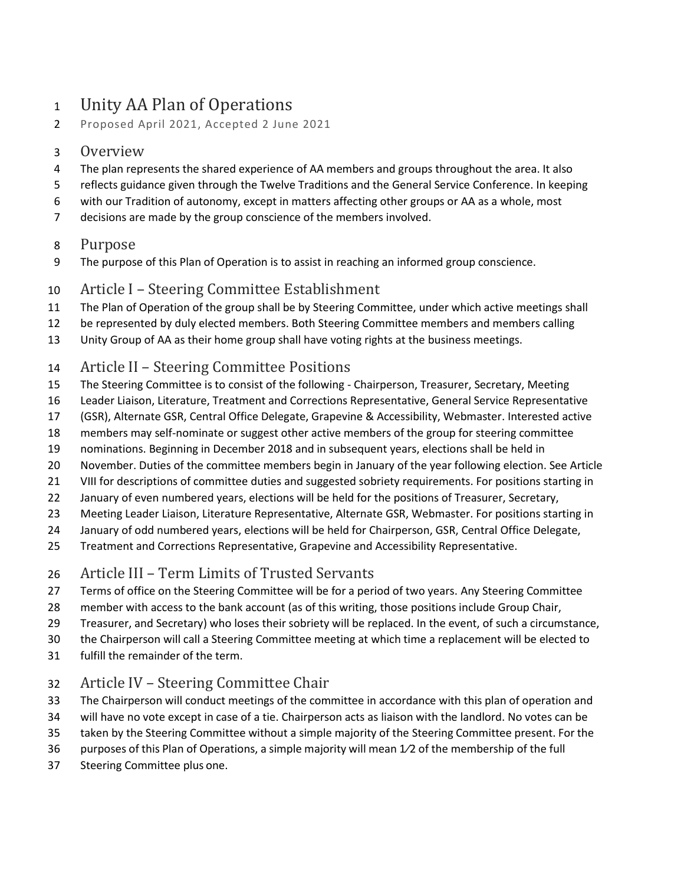# Unity AA Plan of Operations

Proposed April 2021, Accepted 2 June 2021

#### Overview

- The plan represents the shared experience of AA members and groups throughout the area. It also
- reflects guidance given through the Twelve Traditions and the General Service Conference. In keeping
- with our Tradition of autonomy, except in matters affecting other groups or AA as a whole, most
- decisions are made by the group conscience of the members involved.

#### Purpose

The purpose of this Plan of Operation is to assist in reaching an informed group conscience.

### Article I – Steering Committee Establishment

- The Plan of Operation of the group shall be by Steering Committee, under which active meetings shall
- 12 be represented by duly elected members. Both Steering Committee members and members calling
- Unity Group of AA as their home group shall have voting rights at the business meetings.
- Article II Steering Committee Positions
- The Steering Committee is to consist of the following Chairperson, Treasurer, Secretary, Meeting
- Leader Liaison, Literature, Treatment and Corrections Representative, General Service Representative
- (GSR), Alternate GSR, Central Office Delegate, Grapevine & Accessibility, Webmaster. Interested active
- members may self-nominate or suggest other active members of the group for steering committee
- nominations. Beginning in December 2018 and in subsequent years, elections shall be held in
- November. Duties of the committee members begin in January of the year following election. See Article
- 21 VIII for descriptions of committee duties and suggested sobriety requirements. For positions starting in
- 22 January of even numbered years, elections will be held for the positions of Treasurer, Secretary,
- Meeting Leader Liaison, Literature Representative, Alternate GSR, Webmaster. For positions starting in
- January of odd numbered years, elections will be held for Chairperson, GSR, Central Office Delegate,
- Treatment and Corrections Representative, Grapevine and Accessibility Representative.
- Article III Term Limits of Trusted Servants
- Terms of office on the Steering Committee will be for a period of two years. Any Steering Committee
- member with access to the bank account (as of this writing, those positions include Group Chair,
- Treasurer, and Secretary) who loses their sobriety will be replaced. In the event, of such a circumstance,
- the Chairperson will call a Steering Committee meeting at which time a replacement will be elected to
- fulfill the remainder of the term.

### Article IV – Steering Committee Chair

- The Chairperson will conduct meetings of the committee in accordance with this plan of operation and
- will have no vote except in case of a tie. Chairperson acts as liaison with the landlord. No votes can be
- taken by the Steering Committee without a simple majority of the Steering Committee present. For the
- purposes of this Plan of Operations, a simple majority will mean 1⁄2 of the membership of the full
- Steering Committee plus one.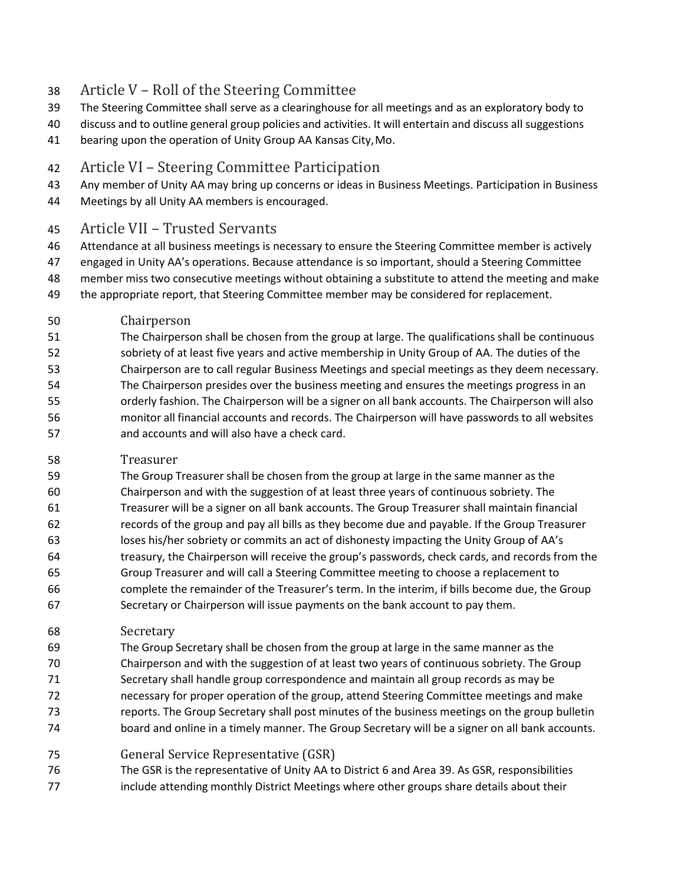## Article V – Roll of the Steering Committee

- The Steering Committee shall serve as a clearinghouse for all meetings and as an exploratory body to
- discuss and to outline general group policies and activities. It will entertain and discuss all suggestions
- bearing upon the operation of Unity Group AA Kansas City,Mo.

### Article VI – Steering Committee Participation

- Any member of Unity AA may bring up concerns or ideas in Business Meetings. Participation in Business
- Meetings by all Unity AA members is encouraged.

### Article VII – Trusted Servants

- Attendance at all business meetings is necessary to ensure the Steering Committee member is actively
- engaged in Unity AA's operations. Because attendance is so important, should a Steering Committee
- member miss two consecutive meetings without obtaining a substitute to attend the meeting and make
- the appropriate report, that Steering Committee member may be considered for replacement.
- Chairperson
- The Chairperson shall be chosen from the group at large. The qualifications shall be continuous sobriety of at least five years and active membership in Unity Group of AA. The duties of the Chairperson are to call regular Business Meetings and special meetings as they deem necessary. The Chairperson presides over the business meeting and ensures the meetings progress in an orderly fashion. The Chairperson will be a signer on all bank accounts. The Chairperson will also monitor all financial accounts and records. The Chairperson will have passwords to all websites and accounts and will also have a check card.
- Treasurer
- The Group Treasurer shall be chosen from the group at large in the same manner as the Chairperson and with the suggestion of at least three years of continuous sobriety. The Treasurer will be a signer on all bank accounts. The Group Treasurer shall maintain financial records of the group and pay all bills as they become due and payable. If the Group Treasurer loses his/her sobriety or commits an act of dishonesty impacting the Unity Group of AA's treasury, the Chairperson will receive the group's passwords, check cards, and records from the Group Treasurer and will call a Steering Committee meeting to choose a replacement to complete the remainder of the Treasurer's term. In the interim, if bills become due, the Group Secretary or Chairperson will issue payments on the bank account to pay them.
- Secretary
- The Group Secretary shall be chosen from the group at large in the same manner as the Chairperson and with the suggestion of at least two years of continuous sobriety. The Group Secretary shall handle group correspondence and maintain all group records as may be necessary for proper operation of the group, attend Steering Committee meetings and make reports. The Group Secretary shall post minutes of the business meetings on the group bulletin board and online in a timely manner. The Group Secretary will be a signer on all bank accounts.
- General Service Representative (GSR)
- The GSR is the representative of Unity AA to District 6 and Area 39. As GSR, responsibilities
- 77 include attending monthly District Meetings where other groups share details about their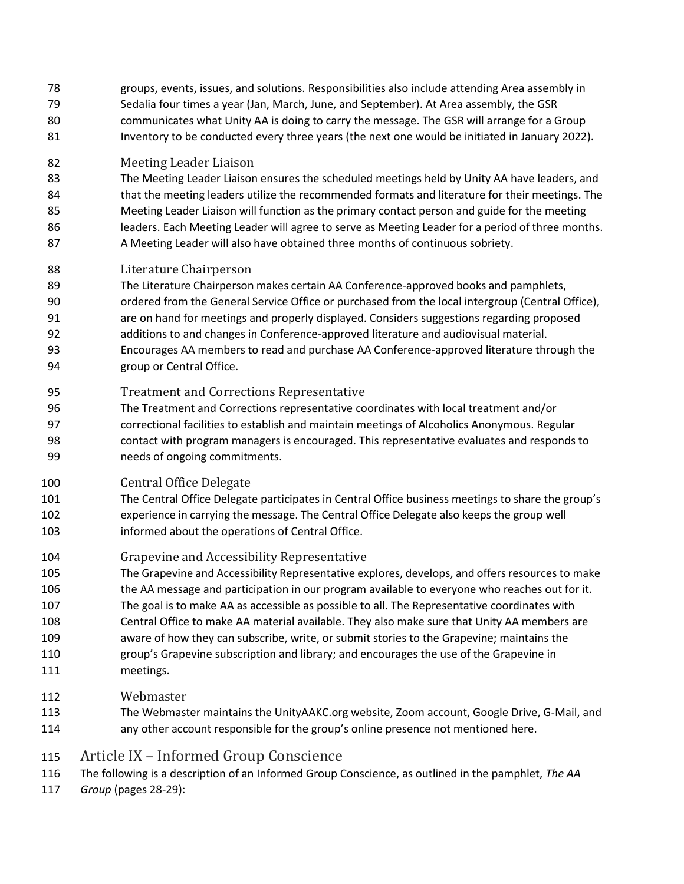- groups, events, issues, and solutions. Responsibilities also include attending Area assembly in Sedalia four times a year (Jan, March, June, and September). At Area assembly, the GSR communicates what Unity AA is doing to carry the message. The GSR will arrange for a Group Inventory to be conducted every three years (the next one would be initiated in January 2022).
- Meeting Leader Liaison
- The Meeting Leader Liaison ensures the scheduled meetings held by Unity AA have leaders, and that the meeting leaders utilize the recommended formats and literature for their meetings. The Meeting Leader Liaison will function as the primary contact person and guide for the meeting
- 86 leaders. Each Meeting Leader will agree to serve as Meeting Leader for a period of three months. A Meeting Leader will also have obtained three months of continuous sobriety.
- Literature Chairperson
- The Literature Chairperson makes certain AA Conference-approved books and pamphlets, ordered from the General Service Office or purchased from the local intergroup (Central Office), are on hand for meetings and properly displayed. Considers suggestions regarding proposed additions to and changes in Conference-approved literature and audiovisual material. Encourages AA members to read and purchase AA Conference-approved literature through the group or Central Office.
- Treatment and Corrections Representative
- The Treatment and Corrections representative coordinates with local treatment and/or correctional facilities to establish and maintain meetings of Alcoholics Anonymous. Regular contact with program managers is encouraged. This representative evaluates and responds to needs of ongoing commitments.
- Central Office Delegate
- The Central Office Delegate participates in Central Office business meetings to share the group's experience in carrying the message. The Central Office Delegate also keeps the group well informed about the operations of Central Office.
- Grapevine and Accessibility Representative
- The Grapevine and Accessibility Representative explores, develops, and offersresources to make 106 the AA message and participation in our program available to everyone who reaches out for it.
- The goal is to make AA as accessible as possible to all. The Representative coordinates with
- Central Office to make AA material available. They also make sure that Unity AA members are
- aware of how they can subscribe, write, or submit stories to the Grapevine; maintains the
- group's Grapevine subscription and library; and encourages the use of the Grapevine in meetings.
- Webmaster
- The Webmaster maintains the UnityAAKC.org website, Zoom account, Google Drive, G-Mail, and any other account responsible for the group's online presence not mentioned here.
- Article IX Informed Group Conscience
- The following is a description of an Informed Group Conscience, as outlined in the pamphlet, *The AA*
- *Group* (pages 28-29):